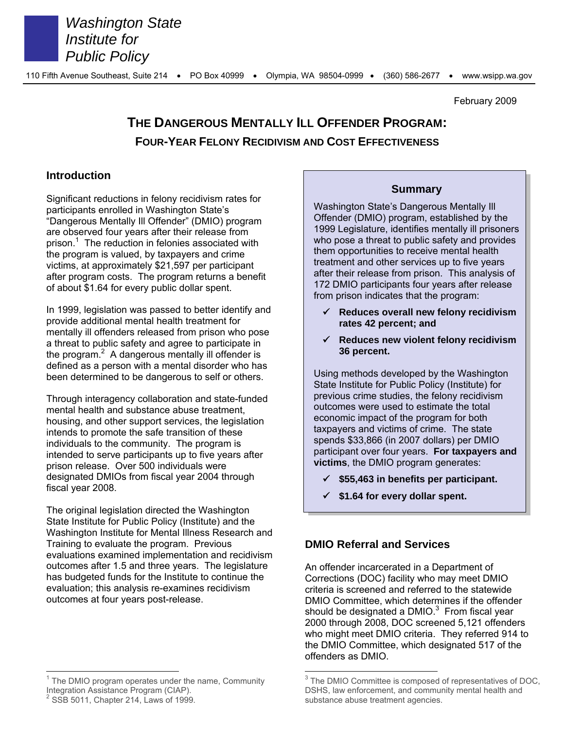

*Washington State Institute for Public Policy*

February 2009

# **THE DANGEROUS MENTALLY ILL OFFENDER PROGRAM: FOUR-YEAR FELONY RECIDIVISM AND COST EFFECTIVENESS**

### **Introduction**

Significant reductions in felony recidivism rates for participants enrolled in Washington State's "Dangerous Mentally Ill Offender" (DMIO) program are observed four years after their release from prison.<sup>1</sup> The reduction in felonies associated with the program is valued, by taxpayers and crime victims, at approximately \$21,597 per participant after program costs. The program returns a benefit of about \$1.64 for every public dollar spent.

In 1999, legislation was passed to better identify and provide additional mental health treatment for mentally ill offenders released from prison who pose a threat to public safety and agree to participate in the program. $2$  A dangerous mentally ill offender is defined as a person with a mental disorder who has been determined to be dangerous to self or others.

Through interagency collaboration and state-funded mental health and substance abuse treatment, housing, and other support services, the legislation intends to promote the safe transition of these individuals to the community. The program is intended to serve participants up to five years after prison release. Over 500 individuals were designated DMIOs from fiscal year 2004 through fiscal year 2008.

The original legislation directed the Washington State Institute for Public Policy (Institute) and the Washington Institute for Mental Illness Research and Training to evaluate the program. Previous evaluations examined implementation and recidivism outcomes after 1.5 and three years. The legislature has budgeted funds for the Institute to continue the evaluation; this analysis re-examines recidivism outcomes at four years post-release.

### **Summary**

Washington State's Dangerous Mentally Ill Offender (DMIO) program, established by the 1999 Legislature, identifies mentally ill prisoners who pose a threat to public safety and provides them opportunities to receive mental health treatment and other services up to five years after their release from prison. This analysis of 172 DMIO participants four years after release from prison indicates that the program:

- **Reduces overall new felony recidivism rates 42 percent; and**
- **Reduces new violent felony recidivism 36 percent.**

Using methods developed by the Washington State Institute for Public Policy (Institute) for previous crime studies, the felony recidivism outcomes were used to estimate the total economic impact of the program for both taxpayers and victims of crime. The state spends \$33,866 (in 2007 dollars) per DMIO participant over four years. **For taxpayers and victims**, the DMIO program generates:

- **\$55,463 in benefits per participant.**
- **\$1.64 for every dollar spent.**

### **DMIO Referral and Services**

An offender incarcerated in a Department of Corrections (DOC) facility who may meet DMIO criteria is screened and referred to the statewide DMIO Committee, which determines if the offender should be designated a DMIO. $3$  From fiscal year 2000 through 2008, DOC screened 5,121 offenders who might meet DMIO criteria. They referred 914 to the DMIO Committee, which designated 517 of the offenders as DMIO.

 $1$  The DMIO program operates under the name, Community Integration Assistance Program (CIAP).

 $2$  SSB 5011, Chapter 214, Laws of 1999.

<sup>&</sup>lt;sup>3</sup> The DMIO Committee is composed of representatives of DOC, DSHS, law enforcement, and community mental health and substance abuse treatment agencies.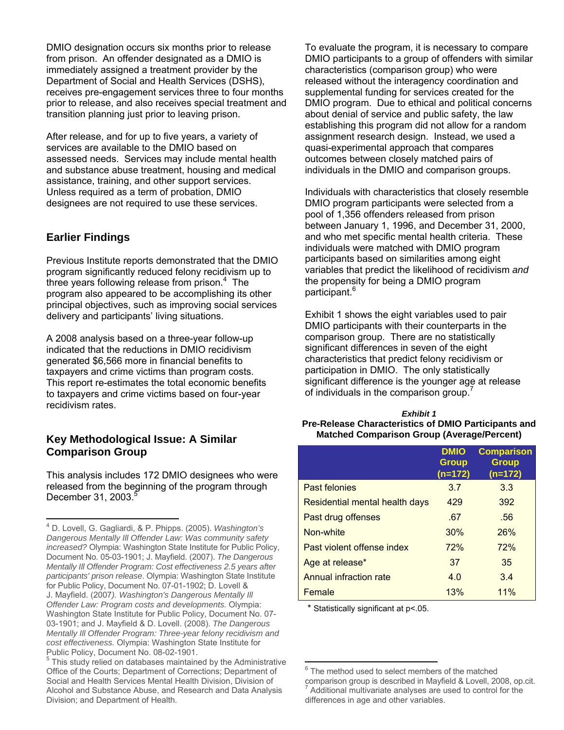DMIO designation occurs six months prior to release from prison. An offender designated as a DMIO is immediately assigned a treatment provider by the Department of Social and Health Services (DSHS), receives pre-engagement services three to four months prior to release, and also receives special treatment and transition planning just prior to leaving prison.

After release, and for up to five years, a variety of services are available to the DMIO based on assessed needs. Services may include mental health and substance abuse treatment, housing and medical assistance, training, and other support services. Unless required as a term of probation, DMIO designees are not required to use these services.

### **Earlier Findings**

Previous Institute reports demonstrated that the DMIO program significantly reduced felony recidivism up to three years following release from prison.<sup>4</sup> The program also appeared to be accomplishing its other principal objectives, such as improving social services delivery and participants' living situations.

A 2008 analysis based on a three-year follow-up indicated that the reductions in DMIO recidivism generated \$6,566 more in financial benefits to taxpayers and crime victims than program costs. This report re-estimates the total economic benefits to taxpayers and crime victims based on four-year recidivism rates.

### **Key Methodological Issue: A Similar Comparison Group**

This analysis includes 172 DMIO designees who were released from the beginning of the program through December 31, 2003.<sup>5</sup>

To evaluate the program, it is necessary to compare DMIO participants to a group of offenders with similar characteristics (comparison group) who were released without the interagency coordination and supplemental funding for services created for the DMIO program. Due to ethical and political concerns about denial of service and public safety, the law establishing this program did not allow for a random assignment research design. Instead, we used a quasi-experimental approach that compares outcomes between closely matched pairs of individuals in the DMIO and comparison groups.

Individuals with characteristics that closely resemble DMIO program participants were selected from a pool of 1,356 offenders released from prison between January 1, 1996, and December 31, 2000, and who met specific mental health criteria. These individuals were matched with DMIO program participants based on similarities among eight variables that predict the likelihood of recidivism *and* the propensity for being a DMIO program participant.<sup>6</sup>

Exhibit 1 shows the eight variables used to pair DMIO participants with their counterparts in the comparison group. There are no statistically significant differences in seven of the eight characteristics that predict felony recidivism or participation in DMIO. The only statistically significant difference is the younger age at release of individuals in the comparison group.<sup>4</sup>

#### *Exhibit 1*  **Pre-Release Characteristics of DMIO Participants and Matched Comparison Group (Average/Percent)**

|                                | <b>DMIO</b><br><b>Group</b><br>(n=172) | <b>Comparison</b><br><b>Group</b><br>(n=172) |
|--------------------------------|----------------------------------------|----------------------------------------------|
| Past felonies                  | 3.7                                    | 3.3                                          |
| Residential mental health days | 429                                    | 392                                          |
| Past drug offenses             | .67                                    | .56                                          |
| Non-white                      | 30%                                    | 26%                                          |
| Past violent offense index     | 72%                                    | 72%                                          |
| Age at release*                | 37                                     | 35                                           |
| Annual infraction rate         | 4.0                                    | 3.4                                          |
| Female                         | 13%                                    | 11%                                          |

\* Statistically significant at p<.05.

 4 D. Lovell, G. Gagliardi, & P. Phipps. (2005). *Washington's Dangerous Mentally Ill Offender Law: Was community safety increased?* Olympia: Washington State Institute for Public Policy, Document No. 05-03-1901; J. Mayfield. (2007). *The Dangerous Mentally Ill Offender Program: Cost effectiveness 2.5 years after participants' prison release*. Olympia: Washington State Institute for Public Policy, Document No. 07-01-1902; D. Lovell & J. Mayfield. (2007*). Washington's Dangerous Mentally Ill Offender Law: Program costs and developments.* Olympia: Washington State Institute for Public Policy, Document No. 07- 03-1901; and J. Mayfield & D. Lovell. (2008). *The Dangerous Mentally Ill Offender Program: Three-year felony recidivism and cost effectiveness.* Olympia: Washington State Institute for Public Policy, Document No. 08-02-1901.

<sup>&</sup>lt;sup>5</sup> This study relied on databases maintained by the Administrative Office of the Courts; Department of Corrections; Department of Social and Health Services Mental Health Division, Division of Alcohol and Substance Abuse, and Research and Data Analysis Division; and Department of Health.

<sup>&</sup>lt;sup>6</sup> The method used to select members of the matched

comparison group is described in Mayfield & Lovell, 2008, op.cit. 7 Additional multivariate analyses are used to control for the differences in age and other variables.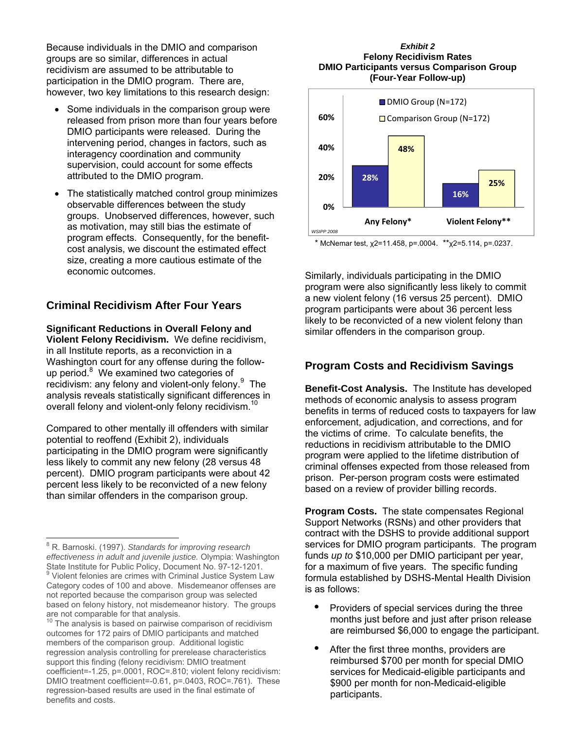Because individuals in the DMIO and comparison groups are so similar, differences in actual recidivism are assumed to be attributable to participation in the DMIO program. There are, however, two key limitations to this research design:

- Some individuals in the comparison group were released from prison more than four years before DMIO participants were released. During the intervening period, changes in factors, such as interagency coordination and community supervision, could account for some effects attributed to the DMIO program.
- The statistically matched control group minimizes observable differences between the study groups. Unobserved differences, however, such as motivation, may still bias the estimate of program effects. Consequently, for the benefitcost analysis, we discount the estimated effect size, creating a more cautious estimate of the economic outcomes.

### **Criminal Recidivism After Four Years**

**Significant Reductions in Overall Felony and Violent Felony Recidivism.** We define recidivism, in all Institute reports, as a reconviction in a Washington court for any offense during the followup period.<sup>8</sup> We examined two categories of recidivism: any felony and violent-only felony.<sup>9</sup> The analysis reveals statistically significant differences in overall felony and violent-only felony recidivism.<sup>10</sup>

Compared to other mentally ill offenders with similar potential to reoffend (Exhibit 2), individuals participating in the DMIO program were significantly less likely to commit any new felony (28 versus 48 percent). DMIO program participants were about 42 percent less likely to be reconvicted of a new felony than similar offenders in the comparison group.

#### *Exhibit 2*  **Felony Recidivism Rates DMIO Participants versus Comparison Group (Four-Year Follow-up)**



\* McNemar test,  $\chi$ 2=11.458, p=.0004. \*\* $\chi$ 2=5.114, p=.0237.

Similarly, individuals participating in the DMIO program were also significantly less likely to commit a new violent felony (16 versus 25 percent). DMIO program participants were about 36 percent less likely to be reconvicted of a new violent felony than similar offenders in the comparison group.

### **Program Costs and Recidivism Savings**

**Benefit-Cost Analysis.** The Institute has developed methods of economic analysis to assess program benefits in terms of reduced costs to taxpayers for law enforcement, adjudication, and corrections, and for the victims of crime. To calculate benefits, the reductions in recidivism attributable to the DMIO program were applied to the lifetime distribution of criminal offenses expected from those released from prison. Per-person program costs were estimated based on a review of provider billing records.

**Program Costs.** The state compensates Regional Support Networks (RSNs) and other providers that contract with the DSHS to provide additional support services for DMIO program participants. The program funds *up to* \$10,000 per DMIO participant per year, for a maximum of five years. The specific funding formula established by DSHS-Mental Health Division is as follows:

- Providers of special services during the three months just before and just after prison release are reimbursed \$6,000 to engage the participant.
- After the first three months, providers are reimbursed \$700 per month for special DMIO services for Medicaid-eligible participants and \$900 per month for non-Medicaid-eligible participants.

 8 R. Barnoski. (1997). *Standards for improving research effectiveness in adult and juvenile justice.* Olympia: Washington State Institute for Public Policy, Document No. 97-12-1201.

Violent felonies are crimes with Criminal Justice System Law Category codes of 100 and above. Misdemeanor offenses are not reported because the comparison group was selected based on felony history, not misdemeanor history. The groups are not comparable for that analysis.

The analysis is based on pairwise comparison of recidivism outcomes for 172 pairs of DMIO participants and matched members of the comparison group. Additional logistic regression analysis controlling for prerelease characteristics support this finding (felony recidivism: DMIO treatment coefficient=-1.25, p=.0001, ROC=.810; violent felony recidivism: DMIO treatment coefficient=-0.61, p=.0403, ROC=.761). These regression-based results are used in the final estimate of benefits and costs.